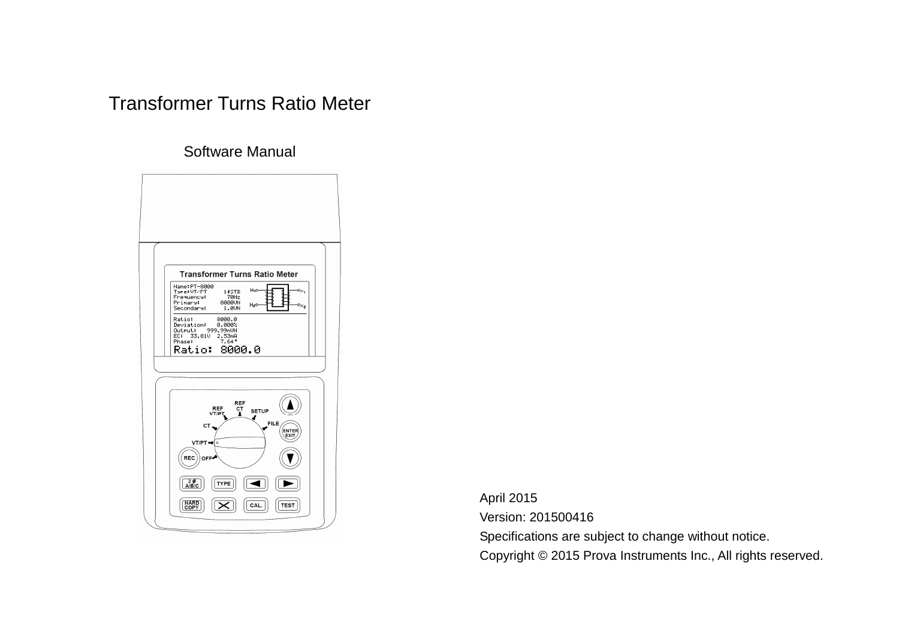# Transformer Turns Ratio Meter

Software Manual



April 2015 Version: 201500416 Specifications are subject to change without notice. Copyright © 2015 Prova Instruments Inc., All rights reserved.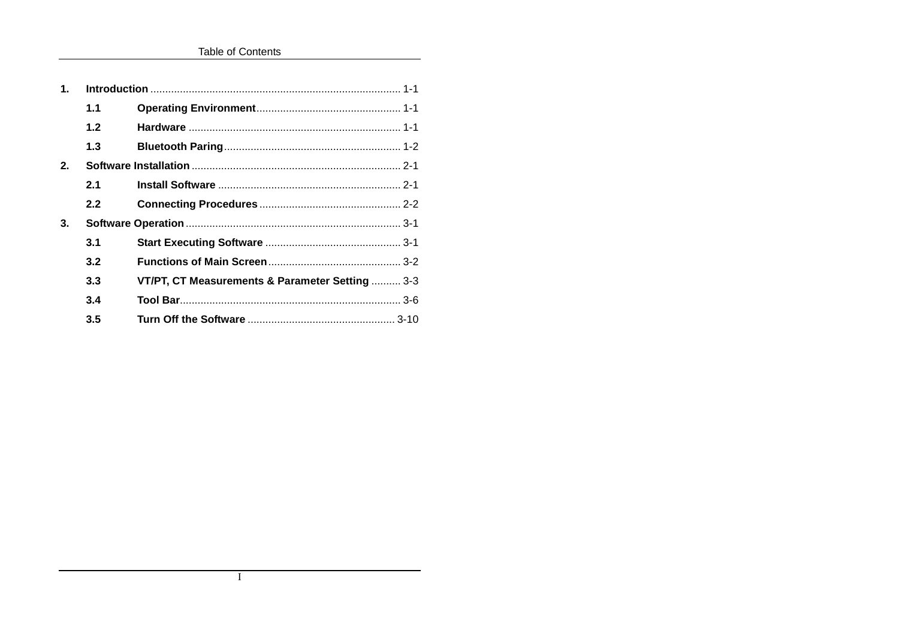**Table of Contents** 

| $\mathbf 1$ . |     |                                                 |  |
|---------------|-----|-------------------------------------------------|--|
|               | 1.1 |                                                 |  |
|               | 1.2 |                                                 |  |
|               | 1.3 |                                                 |  |
| 2.            |     |                                                 |  |
|               | 2.1 |                                                 |  |
|               | 2.2 |                                                 |  |
| 3.            |     |                                                 |  |
|               | 3.1 |                                                 |  |
|               | 3.2 |                                                 |  |
|               | 3.3 | VT/PT, CT Measurements & Parameter Setting  3-3 |  |
|               | 3.4 |                                                 |  |
|               | 3.5 |                                                 |  |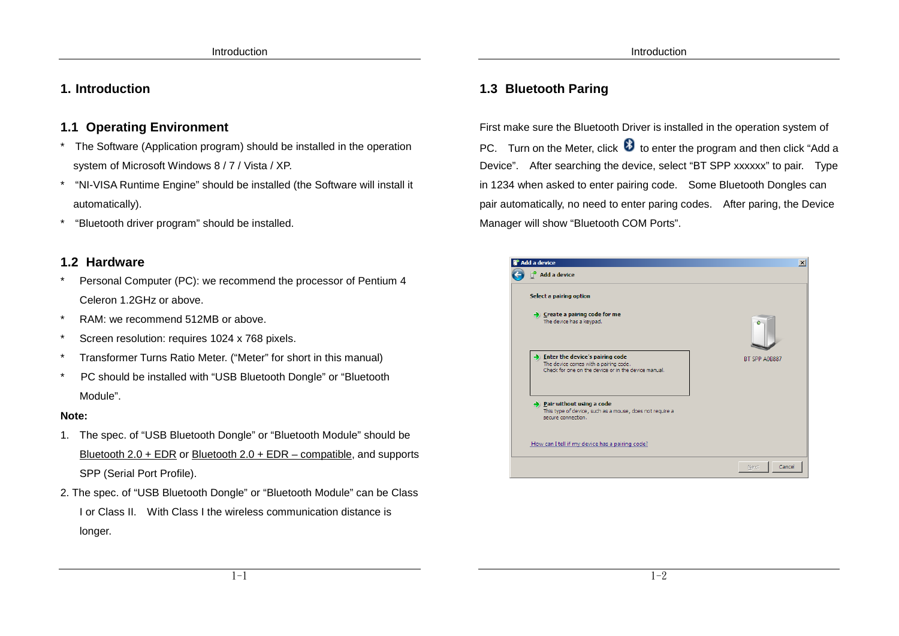# **1. Introduction**

# **1.1 Operating Environment**

- \* The Software (Application program) should be installed in the operation system of Microsoft Windows 8 / 7 / Vista / XP.
- \* "NI-VISA Runtime Engine" should be installed (the Software will install it automatically).
- \*"Bluetooth driver program" should be installed.

# **1.2 Hardware**

- Personal Computer (PC): we recommend the processor of Pentium 4 Celeron 1.2GHz or above.
- \* RAM: we recommend 512MB or above.
- Screen resolution: requires 1024 x 768 pixels.
- Transformer Turns Ratio Meter. ("Meter" for short in this manual)
- PC should be installed with "USB Bluetooth Dongle" or "Bluetooth Module".

### **Note:**

- 1. The spec. of "USB Bluetooth Dongle" or "Bluetooth Module" should be Bluetooth 2.0 + EDR or Bluetooth 2.0 + EDR – compatible, and supports SPP (Serial Port Profile).
- 2. The spec. of "USB Bluetooth Dongle" or "Bluetooth Module" can be Class I or Class II. With Class I the wireless communication distance is longer.

# **1.3 Bluetooth Paring**

First make sure the Bluetooth Driver is installed in the operation system of PC. Turn on the Meter, click  $\bullet$  to enter the program and then click "Add a Device". After searching the device, select "BT SPP xxxxxx" to pair. Type in 1234 when asked to enter pairing code. Some Bluetooth Dongles can pair automatically, no need to enter paring codes. After paring, the Device Manager will show "Bluetooth COM Ports".

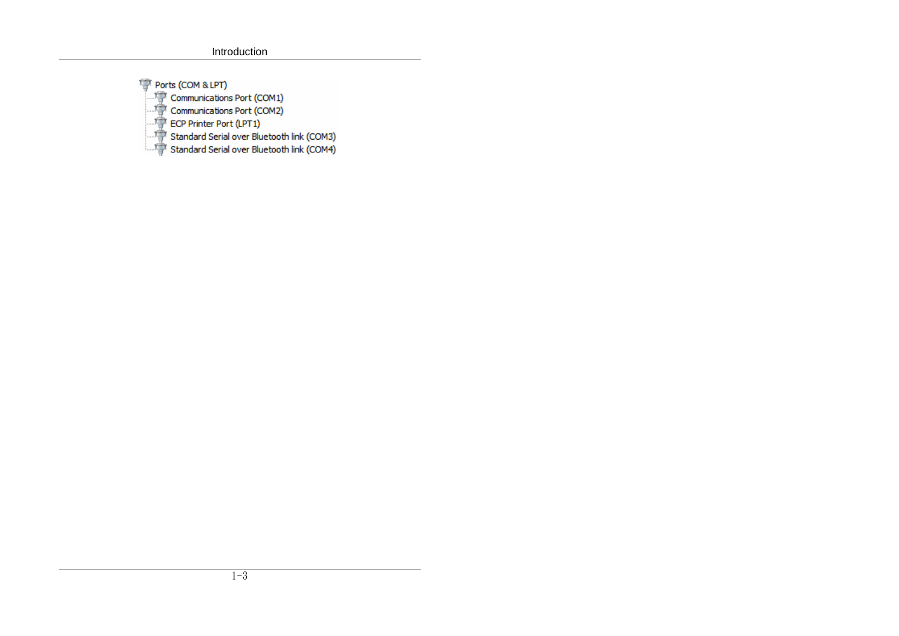Ports (COM & LPT) Communications Port (COM1)

Communications Port (COM2)

 $\mathbb{F}$  ECP Printer Port (LPT1)

Standard Serial over Bluetooth link (COM3)

Standard Serial over Bluetooth link (COM4)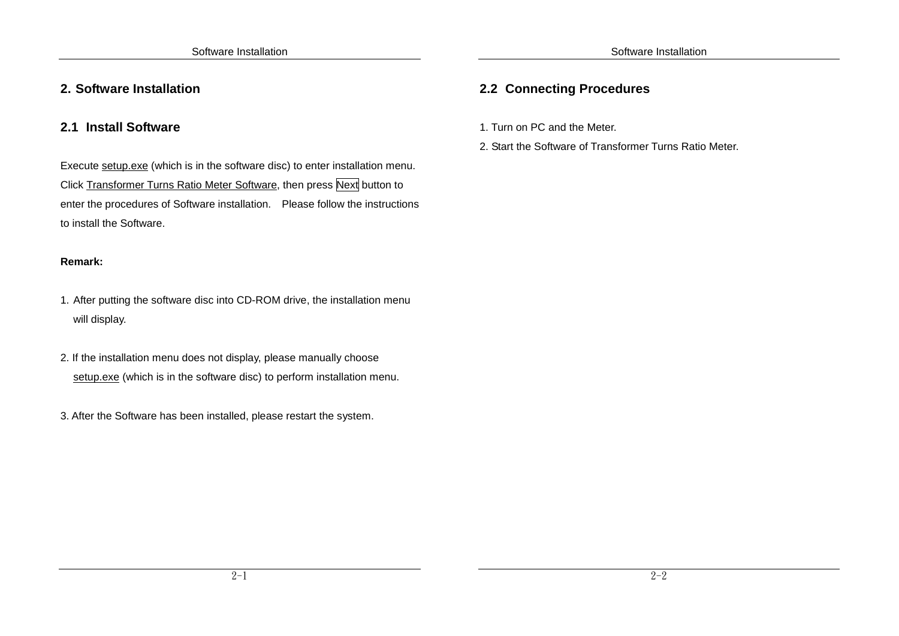# **2.1 Install Software**

Execute setup.exe (which is in the software disc) to enter installation menu. Click Transformer Turns Ratio Meter Software, then press Next button to enter the procedures of Software installation. Please follow the instructions to install the Software.

### **Remark:**

- 1. After putting the software disc into CD-ROM drive, the installation menu will display.
- 2. If the installation menu does not display, please manually choose setup.exe (which is in the software disc) to perform installation menu.
- 3. After the Software has been installed, please restart the system.

# **2.2 Connecting Procedures**

- 1. Turn on PC and the Meter.
- 2. Start the Software of Transformer Turns Ratio Meter.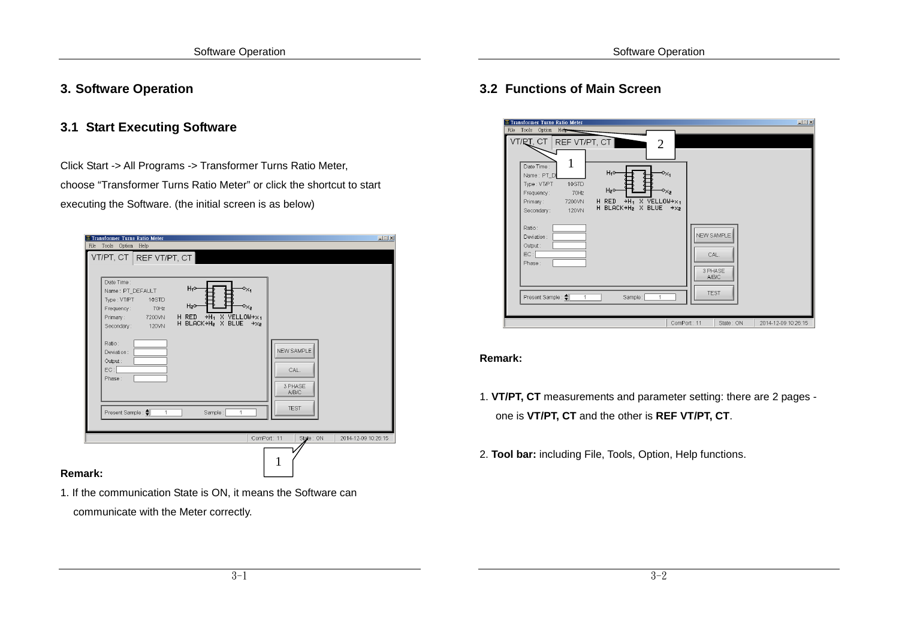### **3. Software Operation**

### **3.1 Start Executing Software**

Click Start -> All Programs -> Transformer Turns Ratio Meter, choose "Transformer Turns Ratio Meter" or click the shortcut to start executing the Software. (the initial screen is as below)

| Date Time:<br>Name: PT DEFAULT<br>Type: VT/PT<br>1¢STD<br>70Hz<br>Frequency:<br>Primary: 7200VN<br>120VN<br>Secondary:<br>Ratio:<br>Deviation:<br>Output:<br>$EC:$ $\Gamma$<br>Phase: | $H_1$ o-<br>$\mathbf{0}_{\mathbf{X_1}}$<br>H <sub>2</sub> o-<br>$\mathbf{0}_{\mathbf{X}, \mathbf{z}}$<br>H RED $\rightarrow$ H <sub>1</sub> X YELLOW $\rightarrow$ x <sub>1</sub><br>H BLACK→H2 X BLUE<br>$+xz$ | NEW SAMPLE<br>CAL.<br>3 PHASE<br>A/B/C<br><b>TEST</b> |
|---------------------------------------------------------------------------------------------------------------------------------------------------------------------------------------|-----------------------------------------------------------------------------------------------------------------------------------------------------------------------------------------------------------------|-------------------------------------------------------|
| Present Sample: <a><br/><math>\overline{1}</math></a>                                                                                                                                 | Sample:<br>$\overline{1}$                                                                                                                                                                                       |                                                       |

1. If the communication State is ON, it means the Software can communicate with the Meter correctly.

# **3.2 Functions of Main Screen**

| Transformer Turns Ratio Meter<br>File Tools Option<br>Heb<br>VT/RT, CT<br>REF VT/PT, CT<br>$\overline{2}$<br>Date Time:<br>H <sub>1</sub> 0-<br>$\mathbf{0}_{\mathsf{X}_1}$<br>Name: PT_D<br>1¢STD<br>Type: VT/PT<br>H <sub>2</sub> 0-<br>$\mathbf{P}_{\mathsf{X}_2}$<br>70Hz<br>Frequency:<br>$H_1$ X YELLOW+ $x_1$<br>H RED<br>7200VN<br>Primary:<br>H BLACK+H2 X BLUE<br>$+xz$<br>120VN<br>Secondary:<br>Ratio:<br>Deviation:<br>Output:<br>EC:<br>Phase: | $\Box$<br><b>NEW SAMPLE</b><br>CAL.<br>3 PHASE<br>A/B/C<br><b>TEST</b> |
|--------------------------------------------------------------------------------------------------------------------------------------------------------------------------------------------------------------------------------------------------------------------------------------------------------------------------------------------------------------------------------------------------------------------------------------------------------------|------------------------------------------------------------------------|
| Present Sample: <a><br/>Sample:<br/><math>\mathbf{1}</math><br/>1</a>                                                                                                                                                                                                                                                                                                                                                                                        | ComPort: 11<br>2014-12-09 10:26:15<br>State: ON                        |

#### **Remark:**

- 1. **VT/PT, CT** measurements and parameter setting: there are 2 pages one is **VT/PT, CT** and the other is **REF VT/PT, CT**.
- 2. **Tool bar:** including File, Tools, Option, Help functions.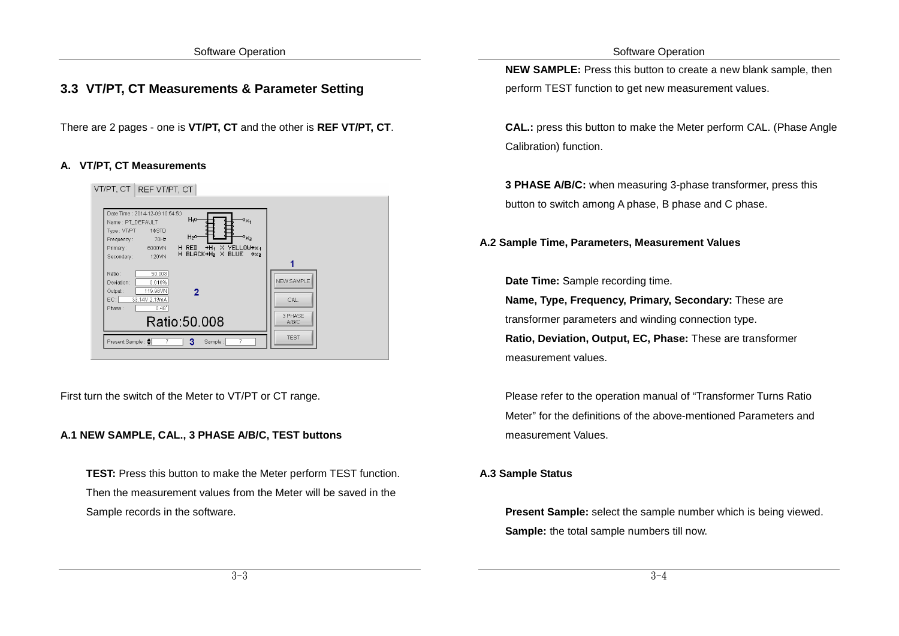Software Operation

## **3.3 VT/PT, CT Measurements & Parameter Setting**

There are 2 pages - one is **VT/PT, CT** and the other is **REF VT/PT, CT**.

#### **A. VT/PT, CT Measurements**



First turn the switch of the Meter to VT/PT or CT range.

#### **A.1 NEW SAMPLE, CAL., 3 PHASE A/B/C, TEST buttons**

**TEST:** Press this button to make the Meter perform TEST function. Then the measurement values from the Meter will be saved in the Sample records in the software.

**NEW SAMPLE:** Press this button to create a new blank sample, then perform TEST function to get new measurement values.

**CAL.:** press this button to make the Meter perform CAL. (Phase Angle Calibration) function.

**3 PHASE A/B/C:** when measuring 3-phase transformer, press this button to switch among A phase, B phase and C phase.

**A.2 Sample Time, Parameters, Measurement Values** 

**Date Time:** Sample recording time.

**Name, Type, Frequency, Primary, Secondary:** These are transformer parameters and winding connection type.**Ratio, Deviation, Output, EC, Phase:** These are transformer measurement values.

Please refer to the operation manual of "Transformer Turns Ratio Meter" for the definitions of the above-mentioned Parameters and measurement Values.

#### **A.3 Sample Status**

**Present Sample:** select the sample number which is being viewed. **Sample:** the total sample numbers till now.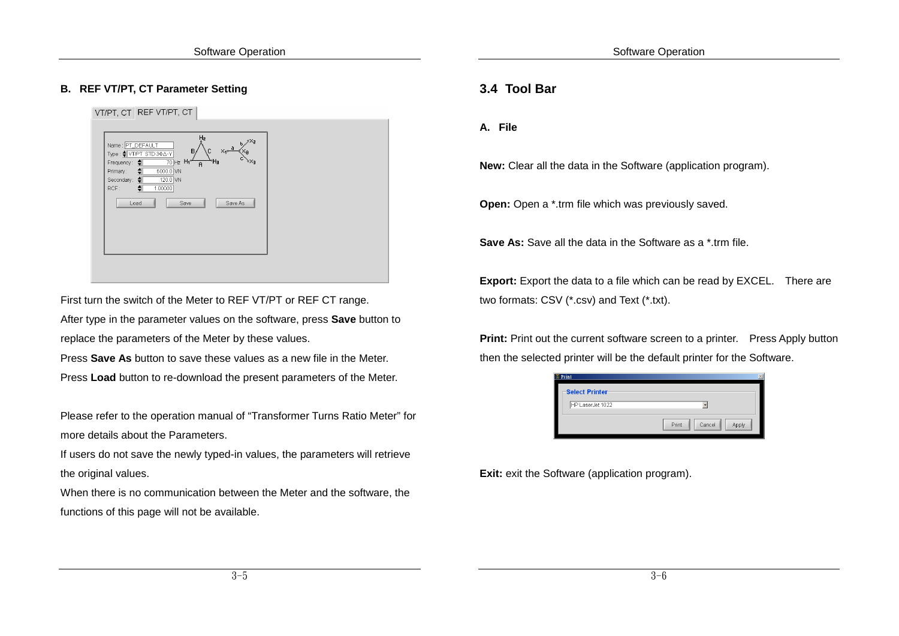#### **B. REF VT/PT, CT Parameter Setting**

VT/PT. CT REF VT/PT, CT **PT DECAUL** TPT STD 30A-6000.0  $\frac{1}{120}$  NN .<br>Sacondan  $1.00000$ Save As

First turn the switch of the Meter to REF VT/PT or REF CT range. After type in the parameter values on the software, press **Save** button to replace the parameters of the Meter by these values.

Press **Save As** button to save these values as a new file in the Meter. Press **Load** button to re-download the present parameters of the Meter.

Please refer to the operation manual of "Transformer Turns Ratio Meter" for more details about the Parameters.

If users do not save the newly typed-in values, the parameters will retrieve the original values.

When there is no communication between the Meter and the software, the functions of this page will not be available.

### **3.4 Tool Bar**

**A. File** 

**New:** Clear all the data in the Software (application program).

**Open:** Open a \*.trm file which was previously saved.

**Save As:** Save all the data in the Software as a \*.trm file.

**Export:** Export the data to a file which can be read by EXCEL. There are two formats: CSV (\*.csv) and Text (\*.txt).

**Print:** Print out the current software screen to a printer. Press Apply button then the selected printer will be the default printer for the Software.

| $E$ Print             | ×                        |
|-----------------------|--------------------------|
| <b>Select Printer</b> |                          |
| HP LaserJet 1022      |                          |
|                       | Print<br>Cancel<br>Apply |

**Exit:** exit the Software (application program).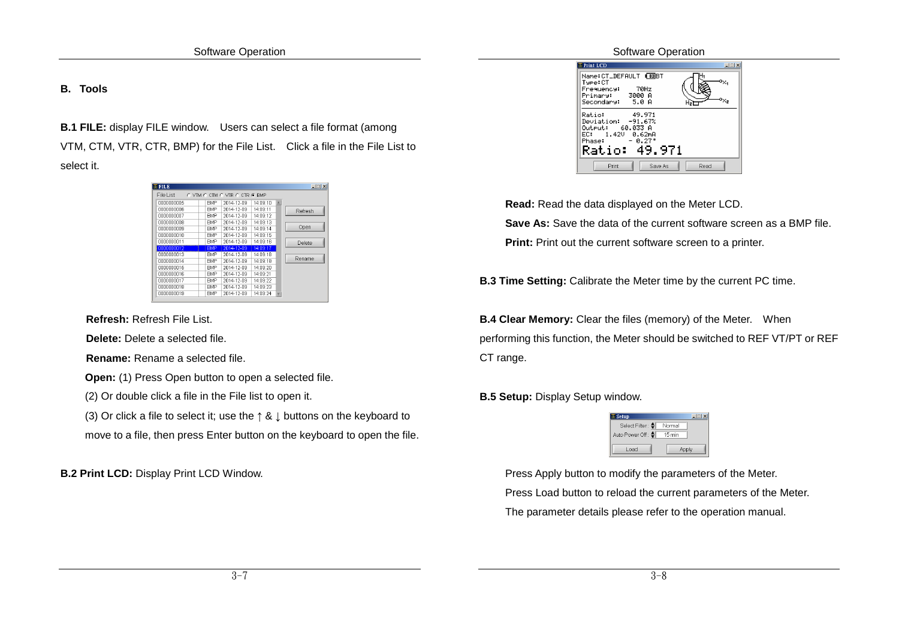#### **B. Tools**

**B.1 FILE:** display FILE window. Users can select a file format (among VTM, CTM, VTR, CTR, BMP) for the File List. Click a file in the File List to select it.

| $E$ FILE   |                                                   | $  $ $  $ $\times$ $ $ |
|------------|---------------------------------------------------|------------------------|
| File List  | $C$ VTM $C$ CTM $C$ VTR $C$ CTR $G$<br><b>RMP</b> |                        |
| 0000000005 | <b>BMP</b><br>14:09:10<br>2014-12-09              | A                      |
| 0000000006 | 14:09:11<br>2014-12-09<br><b>BMP</b>              | Refresh                |
| nnnnnnnn?  | 2014-12-09<br>14 09:12<br><b>BMP</b>              |                        |
| nnnnnnnna  | 2014-12-09<br>14:09:13<br><b>RMP</b>              |                        |
| nnnnnnnnя  | 2014-12-09<br>14 09:14<br><b>RMP</b>              | Open                   |
| nnnnnnn10  | 2014-12-09<br>14 09:15<br><b>RMP</b>              |                        |
| 0000000011 | 2014-12-09<br>14:09:16<br><b>RMP</b>              | Delete                 |
| 0000000012 | <b>RMP</b><br>2014-12-09<br>14:09:17              |                        |
| 0000000013 | <b>RMP</b><br>2014-12-09<br>14:09:18              |                        |
| 0000000014 | 2014-12-09<br>14:09:19<br><b>RMP</b>              | Rename                 |
| 0000000015 | 14:09:20<br><b>BMP</b><br>2014-12-09              |                        |
| 0000000016 | 14:09:21<br><b>BMP</b><br>2014-12-09              |                        |
| 0000000017 | 2014-12-09<br>14:09:22<br><b>BMP</b>              |                        |
| 0000000018 | 2014-12-09<br>14:09:23<br>BMP                     |                        |
| 0000000019 | 2014-12-09<br>14:09:24<br><b>BMP</b>              | ٣                      |
|            |                                                   |                        |

**Refresh:** Refresh File List.

**Delete:** Delete a selected file.

**Rename:** Rename a selected file.

**Open:** (1) Press Open button to open a selected file.

(2) Or double click a file in the File list to open it.

(3) Or click a file to select it; use the  $\uparrow$  &  $\downarrow$  buttons on the keyboard to

move to a file, then press Enter button on the keyboard to open the file.

**B.2 Print LCD:** Display Print LCD Window.

| Software Operation |
|--------------------|
|                    |

| $F$ Print LCD                                                                  | $ \Box$ $\times$ |  |  |  |
|--------------------------------------------------------------------------------|------------------|--|--|--|
| Name:CT_DEFAULT 【国BT<br>o <sub>x.</sub><br>Type:CT                             |                  |  |  |  |
| 70Hz<br>Frequency:                                                             |                  |  |  |  |
| Primary:    3000 A<br>$\mathbf{P}_{\mathsf{X}_\mathsf{Z}}$<br>Secondary: 5.0 A |                  |  |  |  |
| Ratio: I<br>49.971<br>Deviation: -91.67%                                       |                  |  |  |  |
| Output: 60.033 A<br>EC: 1.42V 0.62mA                                           |                  |  |  |  |
| Phase: $-0.27$                                                                 |                  |  |  |  |
| Ratio: 49.971                                                                  |                  |  |  |  |
| Print<br>Save As<br>Read                                                       |                  |  |  |  |

**Read:** Read the data displayed on the Meter LCD. **Save As:** Save the data of the current software screen as a BMP file. **Print:** Print out the current software screen to a printer.

**B.3 Time Setting:** Calibrate the Meter time by the current PC time.

**B.4 Clear Memory:** Clear the files (memory) of the Meter. When performing this function, the Meter should be switched to REF VT/PT or REF CT range.

**B.5 Setup:** Display Setup window.

| Setup              |        |
|--------------------|--------|
| Select Filter: ♦   | Normal |
| Auto Power Off : ♦ | 15 min |
| Load               | Apply  |

Press Apply button to modify the parameters of the Meter. Press Load button to reload the current parameters of the Meter. The parameter details please refer to the operation manual.